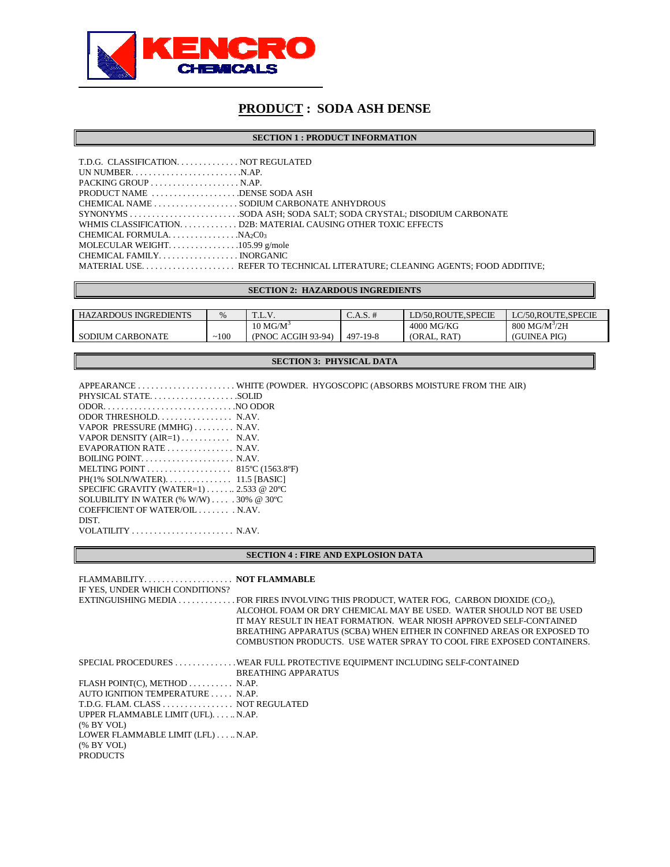

**SECTION 1 : PRODUCT INFORMATION** 

| $PACKING GROUP \ldots \ldots \ldots \ldots \ldots \ldots \ldots$ . N.AP.               |                                                                |
|----------------------------------------------------------------------------------------|----------------------------------------------------------------|
| PRODUCT NAME DENSE SODA ASH                                                            |                                                                |
| CHEMICAL NAME SODIUM CARBONATE ANHYDROUS                                               |                                                                |
|                                                                                        |                                                                |
|                                                                                        | WHMIS CLASSIFICATIOND2B: MATERIAL CAUSING OTHER TOXIC EFFECTS. |
| CHEMICAL FORMULA. $\ldots \ldots \ldots \ldots \ldots$ NA <sub>2</sub> C0 <sub>3</sub> |                                                                |
|                                                                                        |                                                                |
|                                                                                        |                                                                |
|                                                                                        |                                                                |

### **SECTION 2: HAZARDOUS INGREDIENTS**

| <b>HAZARDOUS INGREDIENTS</b> | $\%$ | ᠇᠇<br>1.1.7.7.      | $\angle$ .A.S. # | LD/50.ROUTE.SPECIE | LC/50.ROUTE.SPECIE          |
|------------------------------|------|---------------------|------------------|--------------------|-----------------------------|
|                              |      | $10 \text{ MG/M}^3$ |                  | 4000 MG/KG         | $800$ MG/M <sup>3</sup> /2H |
| <b>SODIUM CARBONATE</b>      | 100  | (PNOC ACGIH 93-94)  | 497-19-8         | (ORAL, RAT)        | (GUINEA PIG)                |

## **SECTION 3: PHYSICAL DATA**

| PHYSICAL STATESOLID                                                 |  |
|---------------------------------------------------------------------|--|
| $ODOR.$ NO ODOR                                                     |  |
| ODOR THRESHOLD N.AV.                                                |  |
| VAPOR PRESSURE (MMHG) N.AV.                                         |  |
| VAPOR DENSITY $(AIR=1)$ N.AV.                                       |  |
|                                                                     |  |
| BOILING POINT. $\dots \dots \dots \dots \dots \dots$ . N.AV.        |  |
| MELTING POINT $\ldots \ldots \ldots \ldots \ldots$ 815°C (1563.8°F) |  |
|                                                                     |  |
| SPECIFIC GRAVITY (WATER=1) $\ldots$ $2.533$ @ 20 °C                 |  |
| SOLUBILITY IN WATER $(\% W/W)$ 30% @ 30°C                           |  |
| COEFFICIENT OF WATER/OIL N.AV.                                      |  |
| DIST.                                                               |  |
| VOLATILITY $\dots \dots \dots \dots \dots \dots \dots$ . N.AV.      |  |
|                                                                     |  |

### **SECTION 4 : FIRE AND EXPLOSION DATA**

| FLAMMABILITY NOT FLAMMABLE<br>IF YES, UNDER WHICH CONDITIONS? |                                                                                        |
|---------------------------------------------------------------|----------------------------------------------------------------------------------------|
|                                                               | EXTINGUISHING MEDIA FOR FIRES INVOLVING THIS PRODUCT, WATER FOG, CARBON DIOXIDE (CO2), |
|                                                               | ALCOHOL FOAM OR DRY CHEMICAL MAY BE USED. WATER SHOULD NOT BE USED                     |
|                                                               | IT MAY RESULT IN HEAT FORMATION. WEAR NIOSH APPROVED SELF-CONTAINED.                   |
|                                                               | BREATHING APPARATUS (SCBA) WHEN EITHER IN CONFINED AREAS OR EXPOSED TO                 |
|                                                               | COMBUSTION PRODUCTS. USE WATER SPRAY TO COOL FIRE EXPOSED CONTAINERS.                  |
|                                                               |                                                                                        |
|                                                               |                                                                                        |
|                                                               | <b>BREATHING APPARATUS</b>                                                             |
| FLASH POINT(C), METHOD N.AP.                                  |                                                                                        |
| AUTO IGNITION TEMPERATURE N.AP.                               |                                                                                        |
| T.D.G. FLAM. CLASS NOT REGULATED                              |                                                                                        |
| UPPER FLAMMABLE LIMIT (UFL)N.AP.                              |                                                                                        |
| % BY VOL                                                      |                                                                                        |
| LOWER FLAMMABLE LIMIT (LFL) N.AP.                             |                                                                                        |
| $%$ BY VOL)                                                   |                                                                                        |
| <b>PRODUCTS</b>                                               |                                                                                        |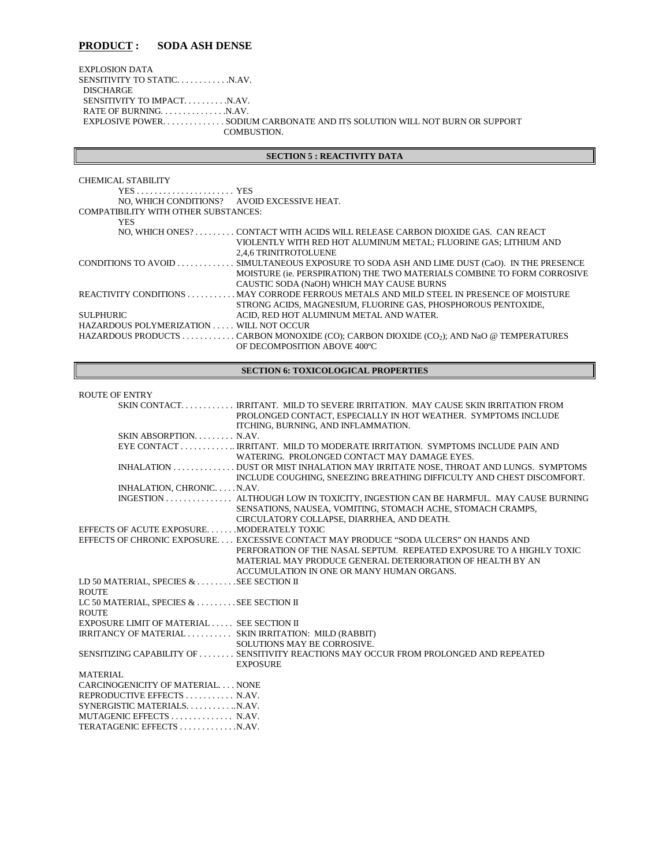EXPLOSION DATA SENSITIVITY TO STATIC. . . . . . . . . . . . N.AV. DISCHARGE SENSITIVITY TO IMPACT. . . . . . . . . . . N.AV. RATE OF BURNING. . . . . . . . . . . . . . . . N.AV. EXPLOSIVE POWER. . . . . . . . . . . . . . SODIUM CARBONATE AND ITS SOLUTION WILL NOT BURN OR SUPPORT COMBUSTION.

### **SECTION 5 : REACTIVITY DATA**

| CHEMICAL STABILITY                                         |                                                                                                    |
|------------------------------------------------------------|----------------------------------------------------------------------------------------------------|
| $YES \dots \dots \dots \dots \dots \dots \dots \text{YES}$ |                                                                                                    |
| NO, WHICH CONDITIONS? AVOID EXCESSIVE HEAT.                |                                                                                                    |
| <b>COMPATIBILITY WITH OTHER SUBSTANCES:</b>                |                                                                                                    |
| <b>YES</b>                                                 |                                                                                                    |
|                                                            | NO. WHICH ONES? CONTACT WITH ACIDS WILL RELEASE CARBON DIOXIDE GAS. CAN REACT                      |
|                                                            | VIOLENTLY WITH RED HOT ALUMINUM METAL; FLUORINE GAS; LITHIUM AND                                   |
|                                                            | 2,4,6 TRINITROTOLUENE                                                                              |
|                                                            | CONDITIONS TO AVOID  SIMULTANEOUS EXPOSURE TO SODA ASH AND LIME DUST (CaO). IN THE PRESENCE        |
|                                                            | MOISTURE (ie. PERSPIRATION) THE TWO MATERIALS COMBINE TO FORM CORROSIVE                            |
|                                                            | CAUSTIC SODA (NaOH) WHICH MAY CAUSE BURNS                                                          |
|                                                            | REACTIVITY CONDITIONS MAY CORRODE FERROUS METALS AND MILD STEEL IN PRESENCE OF MOISTURE            |
|                                                            | STRONG ACIDS, MAGNESIUM, FLUORINE GAS, PHOSPHOROUS PENTOXIDE,                                      |
| <b>SULPHURIC</b>                                           | ACID. RED HOT ALUMINUM METAL AND WATER.                                                            |
| HAZARDOUS POLYMERIZATION WILL NOT OCCUR                    |                                                                                                    |
|                                                            | HAZARDOUS PRODUCTS CARBON MONOXIDE (CO); CARBON DIOXIDE (CO <sub>2</sub> ); AND NaO @ TEMPERATURES |
|                                                            | OF DECOMPOSITION ABOVE 400°C                                                                       |

## **SECTION 6: TOXICOLOGICAL PROPERTIES**

#### ROUTE OF ENTRY

|                                                          | SKIN CONTACT IRRITANT. MILD TO SEVERE IRRITATION. MAY CAUSE SKIN IRRITATION FROM<br>PROLONGED CONTACT, ESPECIALLY IN HOT WEATHER. SYMPTOMS INCLUDE<br>ITCHING, BURNING, AND INFLAMMATION.                                                                               |
|----------------------------------------------------------|-------------------------------------------------------------------------------------------------------------------------------------------------------------------------------------------------------------------------------------------------------------------------|
| SKIN ABSORPTION N.AV.                                    |                                                                                                                                                                                                                                                                         |
|                                                          | EYE CONTACT IRRITANT. MILD TO MODERATE IRRITATION. SYMPTOMS INCLUDE PAIN AND<br>WATERING PROLONGED CONTACT MAY DAMAGE EYES.                                                                                                                                             |
|                                                          | INHALATION DUST OR MIST INHALATION MAY IRRITATE NOSE, THROAT AND LUNGS. SYMPTOMS<br>INCLUDE COUGHING, SNEEZING BREATHING DIFFICULTY AND CHEST DISCOMFORT.                                                                                                               |
| INHALATION, CHRONIC. N.AV.                               |                                                                                                                                                                                                                                                                         |
|                                                          | INGESTION  ALTHOUGH LOW IN TOXICITY. INGESTION CAN BE HARMFUL. MAY CAUSE BURNING<br>SENSATIONS, NAUSEA, VOMITING, STOMACH ACHE, STOMACH CRAMPS,<br>CIRCULATORY COLLAPSE, DIARRHEA, AND DEATH.                                                                           |
| EFFECTS OF ACUTE EXPOSUREMODERATELY TOXIC                |                                                                                                                                                                                                                                                                         |
|                                                          | EFFECTS OF CHRONIC EXPOSURE EXCESSIVE CONTACT MAY PRODUCE "SODA ULCERS" ON HANDS AND<br>PERFORATION OF THE NASAL SEPTUM. REPEATED EXPOSURE TO A HIGHLY TOXIC<br>MATERIAL MAY PRODUCE GENERAL DETERIORATION OF HEALTH BY AN<br>ACCUMULATION IN ONE OR MANY HUMAN ORGANS. |
| LD 50 MATERIAL, SPECIES & SEE SECTION II                 |                                                                                                                                                                                                                                                                         |
| <b>ROUTE</b>                                             |                                                                                                                                                                                                                                                                         |
| LC 50 MATERIAL, SPECIES & SEE SECTION II<br><b>ROUTE</b> |                                                                                                                                                                                                                                                                         |
| EXPOSURE LIMIT OF MATERIAL SEE SECTION II                |                                                                                                                                                                                                                                                                         |
| IRRITANCY OF MATERIAL SKIN IRRITATION: MILD (RABBIT)     | SOLUTIONS MAY BE CORROSIVE.                                                                                                                                                                                                                                             |
|                                                          | SENSITIZING CAPABILITY OF SENSITIVITY REACTIONS MAY OCCUR FROM PROLONGED AND REPEATED<br><b>EXPOSURE</b>                                                                                                                                                                |
| <b>MATERIAL</b>                                          |                                                                                                                                                                                                                                                                         |
| CARCINOGENICITY OF MATERIAL NONE                         |                                                                                                                                                                                                                                                                         |
| REPRODUCTIVE EFFECTS  N.AV.                              |                                                                                                                                                                                                                                                                         |
| SYNERGISTIC MATERIALSN.AV.                               |                                                                                                                                                                                                                                                                         |
| MUTAGENIC EFFECTS  N.AV.                                 |                                                                                                                                                                                                                                                                         |
| TERATAGENIC EFFECTS N.AV.                                |                                                                                                                                                                                                                                                                         |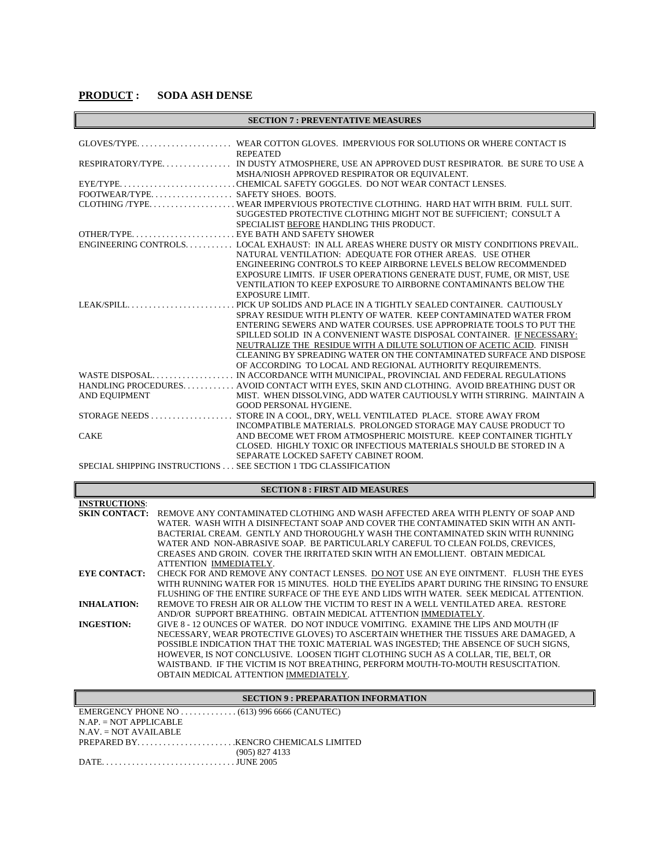| <b>SECTION 7: PREVENTATIVE MEASURES</b> |                                                                                           |  |
|-----------------------------------------|-------------------------------------------------------------------------------------------|--|
|                                         |                                                                                           |  |
|                                         |                                                                                           |  |
|                                         | <b>REPEATED</b>                                                                           |  |
|                                         | RESPIRATORY/TYPE IN DUSTY ATMOSPHERE, USE AN APPROVED DUST RESPIRATOR. BE SURE TO USE A   |  |
|                                         | MSHA/NIOSH APPROVED RESPIRATOR OR EQUIVALENT.                                             |  |
|                                         |                                                                                           |  |
| FOOTWEAR/TYPE SAFETY SHOES. BOOTS.      |                                                                                           |  |
|                                         |                                                                                           |  |
|                                         | SUGGESTED PROTECTIVE CLOTHING MIGHT NOT BE SUFFICIENT; CONSULT A                          |  |
|                                         | SPECIALIST BEFORE HANDLING THIS PRODUCT.                                                  |  |
|                                         |                                                                                           |  |
|                                         | ENGINEERING CONTROLS LOCAL EXHAUST: IN ALL AREAS WHERE DUSTY OR MISTY CONDITIONS PREVAIL. |  |
|                                         | NATURAL VENTILATION: ADEQUATE FOR OTHER AREAS. USE OTHER                                  |  |
|                                         | ENGINEERING CONTROLS TO KEEP AIRBORNE LEVELS BELOW RECOMMENDED                            |  |
|                                         | EXPOSURE LIMITS. IF USER OPERATIONS GENERATE DUST, FUME, OR MIST, USE                     |  |
|                                         | VENTILATION TO KEEP EXPOSURE TO AIRBORNE CONTAMINANTS BELOW THE                           |  |
|                                         | <b>EXPOSURE LIMIT.</b>                                                                    |  |
|                                         |                                                                                           |  |
|                                         | SPRAY RESIDUE WITH PLENTY OF WATER. KEEP CONTAMINATED WATER FROM                          |  |
|                                         | ENTERING SEWERS AND WATER COURSES. USE APPROPRIATE TOOLS TO PUT THE                       |  |
|                                         | SPILLED SOLID IN A CONVENIENT WASTE DISPOSAL CONTAINER. IF NECESSARY:                     |  |
|                                         | NEUTRALIZE THE RESIDUE WITH A DILUTE SOLUTION OF ACETIC ACID. FINISH                      |  |
|                                         | CLEANING BY SPREADING WATER ON THE CONTAMINATED SURFACE AND DISPOSE                       |  |
|                                         | OF ACCORDING TO LOCAL AND REGIONAL AUTHORITY REQUIREMENTS.                                |  |
|                                         | HANDLING PROCEDURES. AVOID CONTACT WITH EYES, SKIN AND CLOTHING. AVOID BREATHING DUST OR  |  |
| AND EQUIPMENT                           | MIST. WHEN DISSOLVING, ADD WATER CAUTIOUSLY WITH STIRRING. MAINTAIN A                     |  |
|                                         | <b>GOOD PERSONAL HYGIENE.</b>                                                             |  |
|                                         |                                                                                           |  |
|                                         | INCOMPATIBLE MATERIALS. PROLONGED STORAGE MAY CAUSE PRODUCT TO                            |  |
| <b>CAKE</b>                             | AND BECOME WET FROM ATMOSPHERIC MOISTURE. KEEP CONTAINER TIGHTLY                          |  |
|                                         | CLOSED. HIGHLY TOXIC OR INFECTIOUS MATERIALS SHOULD BE STORED IN A                        |  |
|                                         | SEPARATE LOCKED SAFETY CABINET ROOM.                                                      |  |
|                                         | SPECIAL SHIPPING INSTRUCTIONS  SEE SECTION 1 TDG CLASSIFICATION                           |  |
|                                         |                                                                                           |  |

## **SECTION 8 : FIRST AID MEASURES**

| <b>SECTION 8 : FIRST AID MEASURES</b> |                                                                                        |  |
|---------------------------------------|----------------------------------------------------------------------------------------|--|
| <b>INSTRUCTIONS:</b>                  |                                                                                        |  |
| <b>SKIN CONTACT:</b>                  | REMOVE ANY CONTAMINATED CLOTHING AND WASH AFFECTED AREA WITH PLENTY OF SOAP AND        |  |
|                                       | WATER. WASH WITH A DISINFECTANT SOAP AND COVER THE CONTAMINATED SKIN WITH AN ANTI-     |  |
|                                       | BACTERIAL CREAM. GENTLY AND THOROUGHLY WASH THE CONTAMINATED SKIN WITH RUNNING         |  |
|                                       | WATER AND NON-ABRASIVE SOAP. BE PARTICULARLY CAREFUL TO CLEAN FOLDS, CREVICES,         |  |
|                                       | CREASES AND GROIN. COVER THE IRRITATED SKIN WITH AN EMOLLIENT. OBTAIN MEDICAL          |  |
|                                       | ATTENTION IMMEDIATELY.                                                                 |  |
| <b>EYE CONTACT:</b>                   | CHECK FOR AND REMOVE ANY CONTACT LENSES. DO NOT USE AN EYE OINTMENT. FLUSH THE EYES    |  |
|                                       | WITH RUNNING WATER FOR 15 MINUTES. HOLD THE EYELIDS APART DURING THE RINSING TO ENSURE |  |
|                                       | FLUSHING OF THE ENTIRE SURFACE OF THE EYE AND LIDS WITH WATER. SEEK MEDICAL ATTENTION. |  |
| <b>INHALATION:</b>                    | REMOVE TO FRESH AIR OR ALLOW THE VICTIM TO REST IN A WELL VENTILATED AREA. RESTORE     |  |
|                                       | AND/OR SUPPORT BREATHING. OBTAIN MEDICAL ATTENTION IMMEDIATELY.                        |  |
| <b>INGESTION:</b>                     | GIVE 8 - 12 OUNCES OF WATER. DO NOT INDUCE VOMITING. EXAMINE THE LIPS AND MOUTH (IF    |  |
|                                       | NECESSARY, WEAR PROTECTIVE GLOVES) TO ASCERTAIN WHETHER THE TISSUES ARE DAMAGED, A     |  |
|                                       | POSSIBLE INDICATION THAT THE TOXIC MATERIAL WAS INGESTED; THE ABSENCE OF SUCH SIGNS,   |  |
|                                       | HOWEVER, IS NOT CONCLUSIVE. LOOSEN TIGHT CLOTHING SUCH AS A COLLAR, TIE, BELT, OR      |  |
|                                       | WAISTBAND. IF THE VICTIM IS NOT BREATHING, PERFORM MOUTH-TO-MOUTH RESUSCITATION.       |  |
|                                       | OBTAIN MEDICAL ATTENTION IMMEDIATELY.                                                  |  |

## **SECTION 9 : PREPARATION INFORMATION**

| EMERGENCY PHONE NO $\dots\dots\dots\dots\dots$ (613) 996 6666 (CANUTEC)            |                  |
|------------------------------------------------------------------------------------|------------------|
| $N.AP = NOT APPLICABLE$                                                            |                  |
| $NAV = NOT AVAILABLE$                                                              |                  |
|                                                                                    |                  |
|                                                                                    | $(905)$ 827 4133 |
| $\text{DATE}_{\dots}, \dots, \dots, \dots, \dots, \dots, \dots, \text{JUNE } 2005$ |                  |